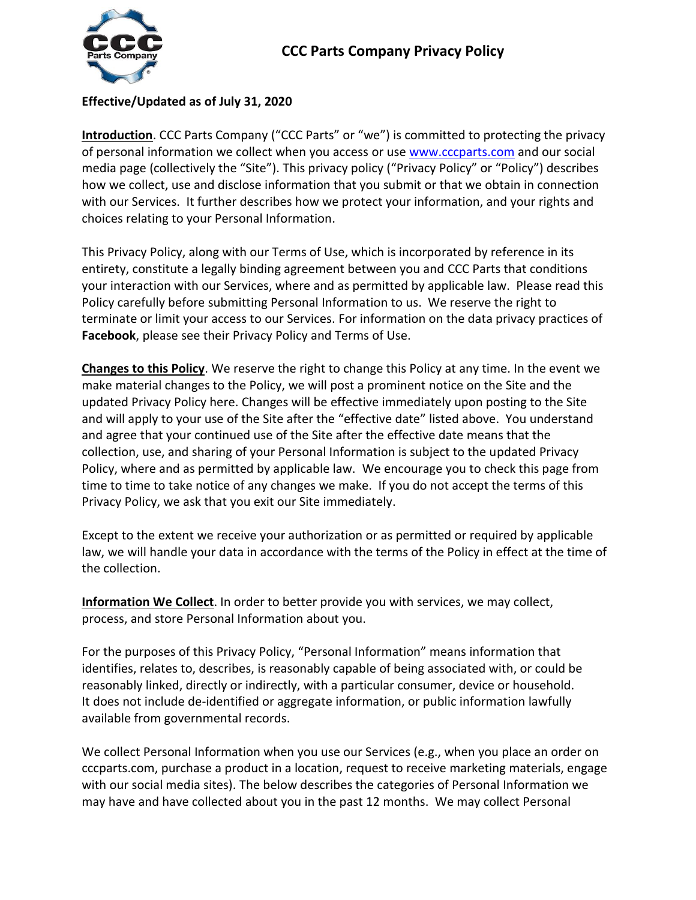

## **Effective/Updated as of July 31, 2020**

**Introduction**. CCC Parts Company ("CCC Parts" or "we") is committed to protecting the privacy of personal information we collect when you access or use [www.cccparts.com](http://www.cccparts.com/) and our social media page (collectively the "Site"). This privacy policy ("Privacy Policy" or "Policy") describes how we collect, use and disclose information that you submit or that we obtain in connection with our Services. It further describes how we protect your information, and your rights and choices relating to your Personal Information.

This Privacy Policy, along with our Terms of Use, which is incorporated by reference in its entirety, constitute a legally binding agreement between you and CCC Parts that conditions your interaction with our Services, where and as permitted by applicable law. Please read this Policy carefully before submitting Personal Information to us. We reserve the right to terminate or limit your access to our Services. For information on the data privacy practices of **Facebook**, please see their Privacy Policy and Terms of Use.

**Changes to this Policy**. We reserve the right to change this Policy at any time. In the event we make material changes to the Policy, we will post a prominent notice on the Site and the updated Privacy Policy here. Changes will be effective immediately upon posting to the Site and will apply to your use of the Site after the "effective date" listed above. You understand and agree that your continued use of the Site after the effective date means that the collection, use, and sharing of your Personal Information is subject to the updated Privacy Policy, where and as permitted by applicable law. We encourage you to check this page from time to time to take notice of any changes we make. If you do not accept the terms of this Privacy Policy, we ask that you exit our Site immediately.

Except to the extent we receive your authorization or as permitted or required by applicable law, we will handle your data in accordance with the terms of the Policy in effect at the time of the collection.

**Information We Collect**. In order to better provide you with services, we may collect, process, and store Personal Information about you.

For the purposes of this Privacy Policy, "Personal Information" means information that identifies, relates to, describes, is reasonably capable of being associated with, or could be reasonably linked, directly or indirectly, with a particular consumer, device or household. It does not include de-identified or aggregate information, or public information lawfully available from governmental records.

We collect Personal Information when you use our Services (e.g., when you place an order on cccparts.com, purchase a product in a location, request to receive marketing materials, engage with our social media sites). The below describes the categories of Personal Information we may have and have collected about you in the past 12 months. We may collect Personal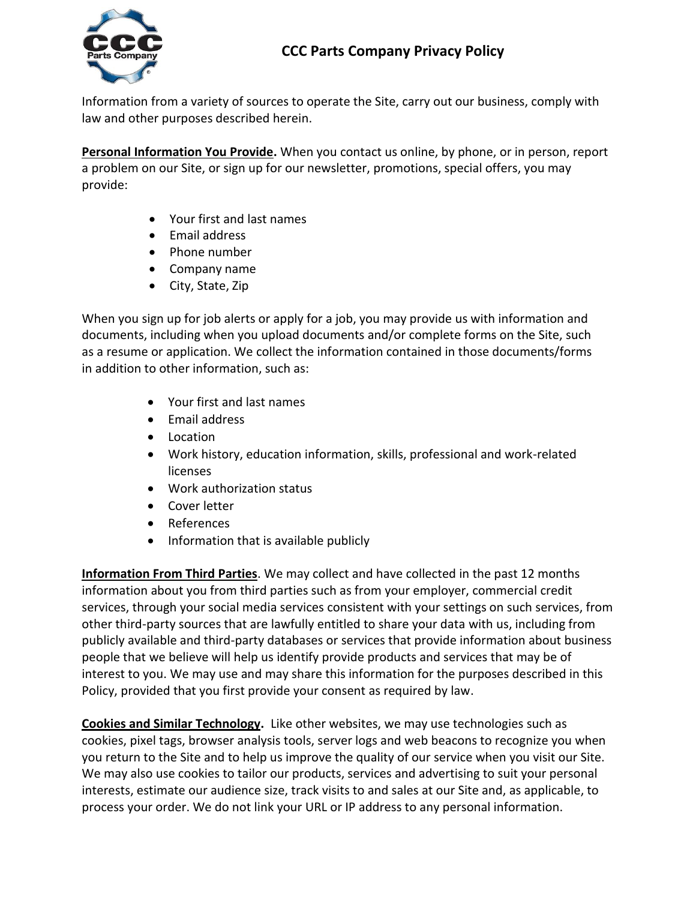

Information from a variety of sources to operate the Site, carry out our business, comply with law and other purposes described herein.

**Personal Information You Provide.** When you contact us online, by phone, or in person, report a problem on our Site, or sign up for our newsletter, promotions, special offers, you may provide:

- Your first and last names
- Email address
- Phone number
- Company name
- City, State, Zip

When you sign up for job alerts or apply for a job, you may provide us with information and documents, including when you upload documents and/or complete forms on the Site, such as a resume or application. We collect the information contained in those documents/forms in addition to other information, such as:

- Your first and last names
- Email address
- Location
- Work history, education information, skills, professional and work-related licenses
- Work authorization status
- Cover letter
- References
- Information that is available publicly

**Information From Third Parties**. We may collect and have collected in the past 12 months information about you from third parties such as from your employer, commercial credit services, through your social media services consistent with your settings on such services, from other third-party sources that are lawfully entitled to share your data with us, including from publicly available and third-party databases or services that provide information about business people that we believe will help us identify provide products and services that may be of interest to you. We may use and may share this information for the purposes described in this Policy, provided that you first provide your consent as required by law.

**Cookies and Similar Technology.** Like other websites, we may use technologies such as cookies, pixel tags, browser analysis tools, server logs and web beacons to recognize you when you return to the Site and to help us improve the quality of our service when you visit our Site. We may also use cookies to tailor our products, services and advertising to suit your personal interests, estimate our audience size, track visits to and sales at our Site and, as applicable, to process your order. We do not link your URL or IP address to any personal information.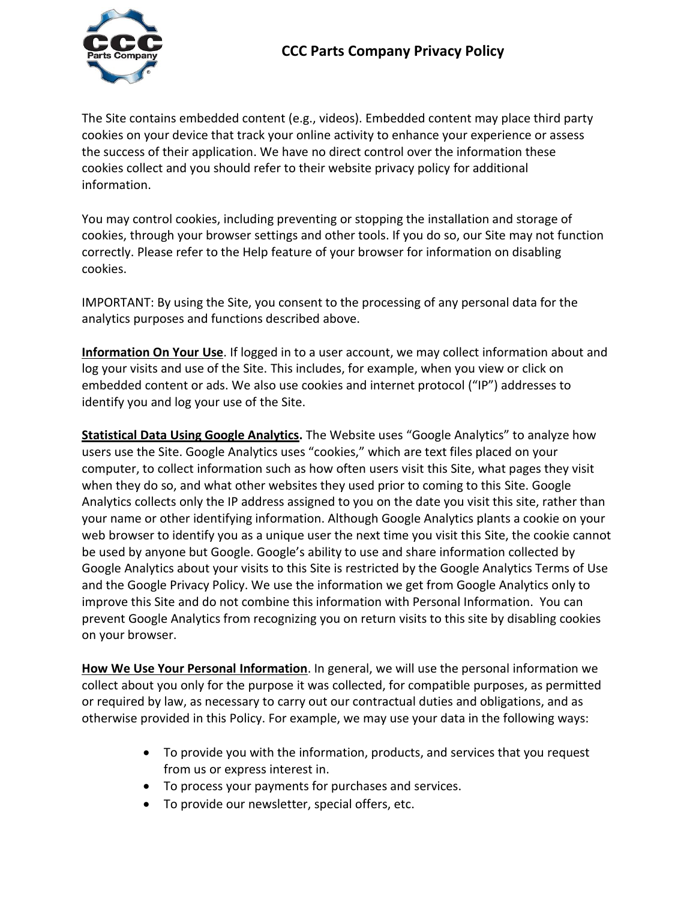

The Site contains embedded content (e.g., videos). Embedded content may place third party cookies on your device that track your online activity to enhance your experience or assess the success of their application. We have no direct control over the information these cookies collect and you should refer to their website privacy policy for additional information.

You may control cookies, including preventing or stopping the installation and storage of cookies, through your browser settings and other tools. If you do so, our Site may not function correctly. Please refer to the Help feature of your browser for information on disabling cookies.

IMPORTANT: By using the Site, you consent to the processing of any personal data for the analytics purposes and functions described above.

**Information On Your Use**. If logged in to a user account, we may collect information about and log your visits and use of the Site. This includes, for example, when you view or click on embedded content or ads. We also use cookies and internet protocol ("IP") addresses to identify you and log your use of the Site.

**Statistical Data Using Google Analytics.** The Website uses "Google Analytics" to analyze how users use the Site. Google Analytics uses "cookies," which are text files placed on your computer, to collect information such as how often users visit this Site, what pages they visit when they do so, and what other websites they used prior to coming to this Site. Google Analytics collects only the IP address assigned to you on the date you visit this site, rather than your name or other identifying information. Although Google Analytics plants a cookie on your web browser to identify you as a unique user the next time you visit this Site, the cookie cannot be used by anyone but Google. Google's ability to use and share information collected by Google Analytics about your visits to this Site is restricted by the Google Analytics Terms of Use and the Google Privacy Policy. We use the information we get from Google Analytics only to improve this Site and do not combine this information with Personal Information. You can prevent Google Analytics from recognizing you on return visits to this site by disabling cookies on your browser.

**How We Use Your Personal Information**. In general, we will use the personal information we collect about you only for the purpose it was collected, for compatible purposes, as permitted or required by law, as necessary to carry out our contractual duties and obligations, and as otherwise provided in this Policy. For example, we may use your data in the following ways:

- To provide you with the information, products, and services that you request from us or express interest in.
- To process your payments for purchases and services.
- To provide our newsletter, special offers, etc.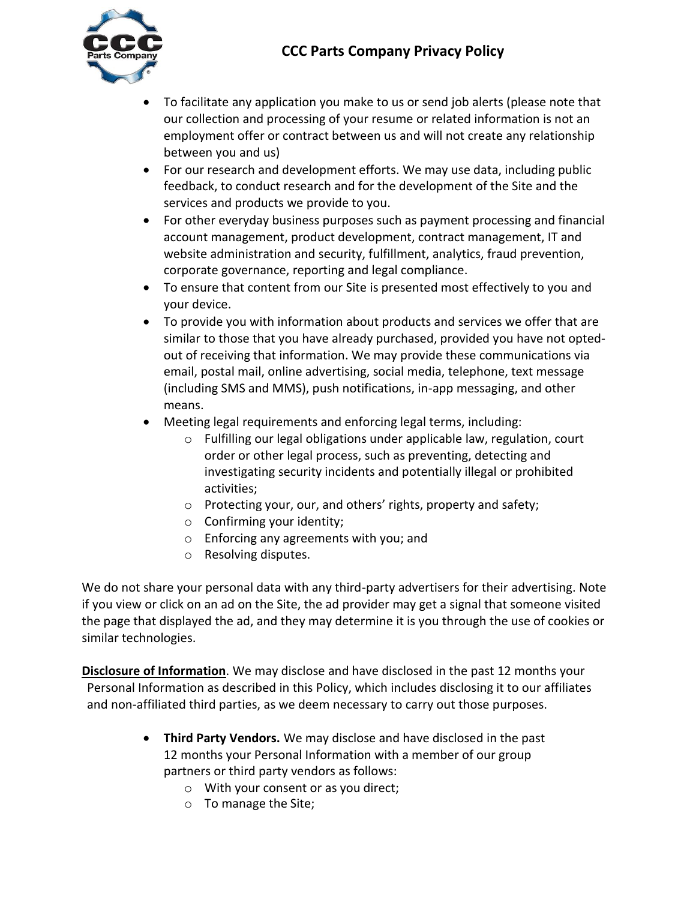## **CCC Parts Company Privacy Policy**



- To facilitate any application you make to us or send job alerts (please note that our collection and processing of your resume or related information is not an employment offer or contract between us and will not create any relationship between you and us)
- For our research and development efforts. We may use data, including public feedback, to conduct research and for the development of the Site and the services and products we provide to you.
- For other everyday business purposes such as payment processing and financial account management, product development, contract management, IT and website administration and security, fulfillment, analytics, fraud prevention, corporate governance, reporting and legal compliance.
- To ensure that content from our Site is presented most effectively to you and your device.
- To provide you with information about products and services we offer that are similar to those that you have already purchased, provided you have not optedout of receiving that information. We may provide these communications via email, postal mail, online advertising, social media, telephone, text message (including SMS and MMS), push notifications, in-app messaging, and other means.
- Meeting legal requirements and enforcing legal terms, including:
	- o Fulfilling our legal obligations under applicable law, regulation, court order or other legal process, such as preventing, detecting and investigating security incidents and potentially illegal or prohibited activities;
	- o Protecting your, our, and others' rights, property and safety;
	- o Confirming your identity;
	- o Enforcing any agreements with you; and
	- o Resolving disputes.

We do not share your personal data with any third-party advertisers for their advertising. Note if you view or click on an ad on the Site, the ad provider may get a signal that someone visited the page that displayed the ad, and they may determine it is you through the use of cookies or similar technologies.

**Disclosure of Information**. We may disclose and have disclosed in the past 12 months your Personal Information as described in this Policy, which includes disclosing it to our affiliates and non-affiliated third parties, as we deem necessary to carry out those purposes.

- **Third Party Vendors.** We may disclose and have disclosed in the past 12 months your Personal Information with a member of our group partners or third party vendors as follows:
	- o With your consent or as you direct;
	- o To manage the Site;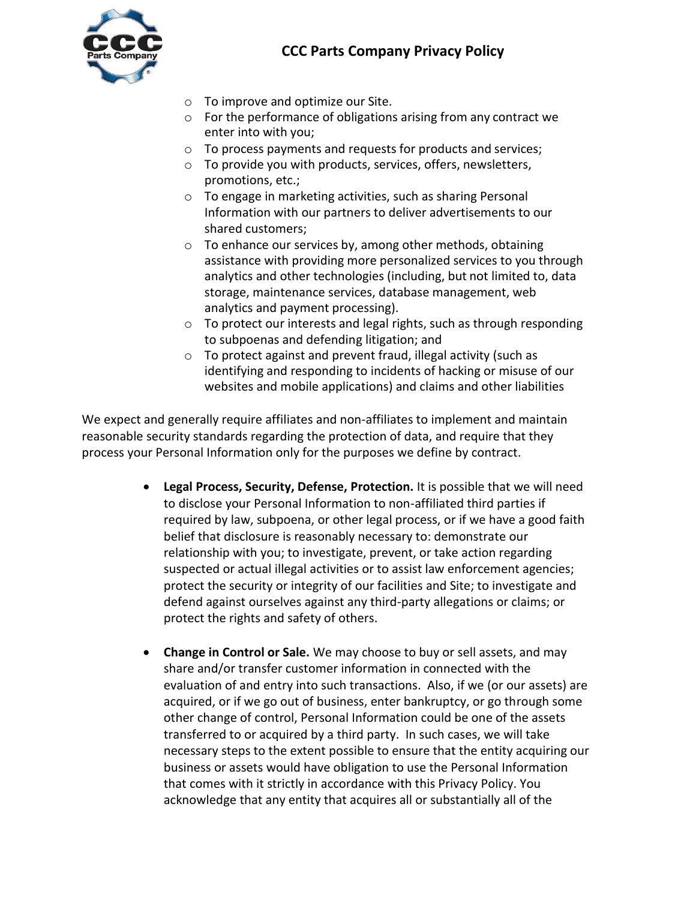



- o To improve and optimize our Site.
- o For the performance of obligations arising from any contract we enter into with you;
- o To process payments and requests for products and services;
- o To provide you with products, services, offers, newsletters, promotions, etc.;
- o To engage in marketing activities, such as sharing Personal Information with our partners to deliver advertisements to our shared customers;
- o To enhance our services by, among other methods, obtaining assistance with providing more personalized services to you through analytics and other technologies (including, but not limited to, data storage, maintenance services, database management, web analytics and payment processing).
- o To protect our interests and legal rights, such as through responding to subpoenas and defending litigation; and
- o To protect against and prevent fraud, illegal activity (such as identifying and responding to incidents of hacking or misuse of our websites and mobile applications) and claims and other liabilities

We expect and generally require affiliates and non-affiliates to implement and maintain reasonable security standards regarding the protection of data, and require that they process your Personal Information only for the purposes we define by contract.

- **Legal Process, Security, Defense, Protection.** It is possible that we will need to disclose your Personal Information to non-affiliated third parties if required by law, subpoena, or other legal process, or if we have a good faith belief that disclosure is reasonably necessary to: demonstrate our relationship with you; to investigate, prevent, or take action regarding suspected or actual illegal activities or to assist law enforcement agencies; protect the security or integrity of our facilities and Site; to investigate and defend against ourselves against any third-party allegations or claims; or protect the rights and safety of others.
- **Change in Control or Sale.** We may choose to buy or sell assets, and may share and/or transfer customer information in connected with the evaluation of and entry into such transactions. Also, if we (or our assets) are acquired, or if we go out of business, enter bankruptcy, or go through some other change of control, Personal Information could be one of the assets transferred to or acquired by a third party. In such cases, we will take necessary steps to the extent possible to ensure that the entity acquiring our business or assets would have obligation to use the Personal Information that comes with it strictly in accordance with this Privacy Policy. You acknowledge that any entity that acquires all or substantially all of the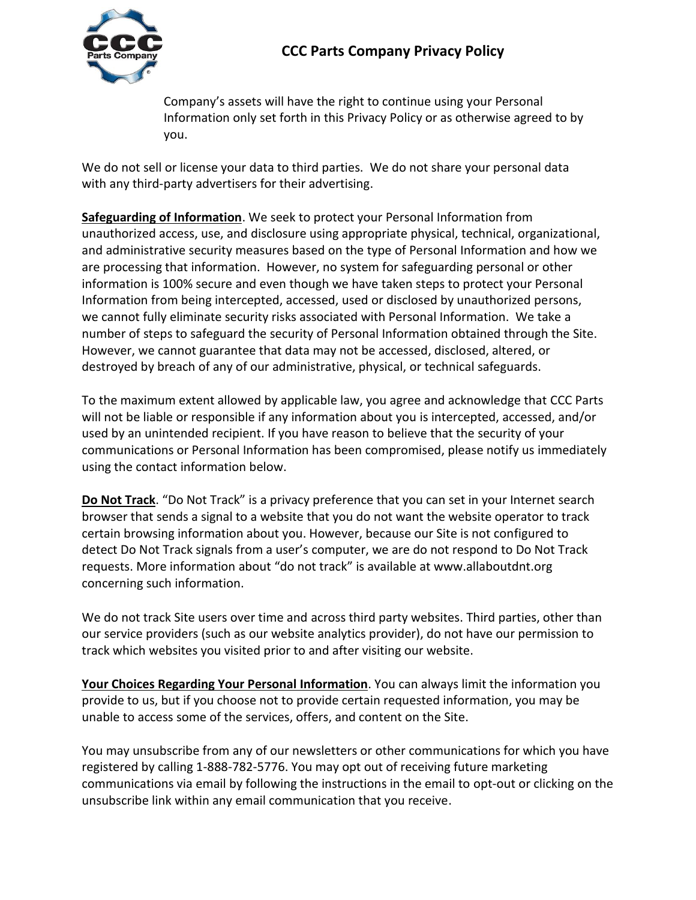

Company's assets will have the right to continue using your Personal Information only set forth in this Privacy Policy or as otherwise agreed to by you.

We do not sell or license your data to third parties. We do not share your personal data with any third-party advertisers for their advertising.

**Safeguarding of Information**. We seek to protect your Personal Information from unauthorized access, use, and disclosure using appropriate physical, technical, organizational, and administrative security measures based on the type of Personal Information and how we are processing that information. However, no system for safeguarding personal or other information is 100% secure and even though we have taken steps to protect your Personal Information from being intercepted, accessed, used or disclosed by unauthorized persons, we cannot fully eliminate security risks associated with Personal Information. We take a number of steps to safeguard the security of Personal Information obtained through the Site. However, we cannot guarantee that data may not be accessed, disclosed, altered, or destroyed by breach of any of our administrative, physical, or technical safeguards.

To the maximum extent allowed by applicable law, you agree and acknowledge that CCC Parts will not be liable or responsible if any information about you is intercepted, accessed, and/or used by an unintended recipient. If you have reason to believe that the security of your communications or Personal Information has been compromised, please notify us immediately using the contact information below.

**Do Not Track**. "Do Not Track" is a privacy preference that you can set in your Internet search browser that sends a signal to a website that you do not want the website operator to track certain browsing information about you. However, because our Site is not configured to detect Do Not Track signals from a user's computer, we are do not respond to Do Not Track requests. More information about "do not track" is available at www.allaboutdnt.org concerning such information.

We do not track Site users over time and across third party websites. Third parties, other than our service providers (such as our website analytics provider), do not have our permission to track which websites you visited prior to and after visiting our website.

**Your Choices Regarding Your Personal Information**. You can always limit the information you provide to us, but if you choose not to provide certain requested information, you may be unable to access some of the services, offers, and content on the Site.

You may unsubscribe from any of our newsletters or other communications for which you have registered by calling 1-888-782-5776. You may opt out of receiving future marketing communications via email by following the instructions in the email to opt-out or clicking on the unsubscribe link within any email communication that you receive.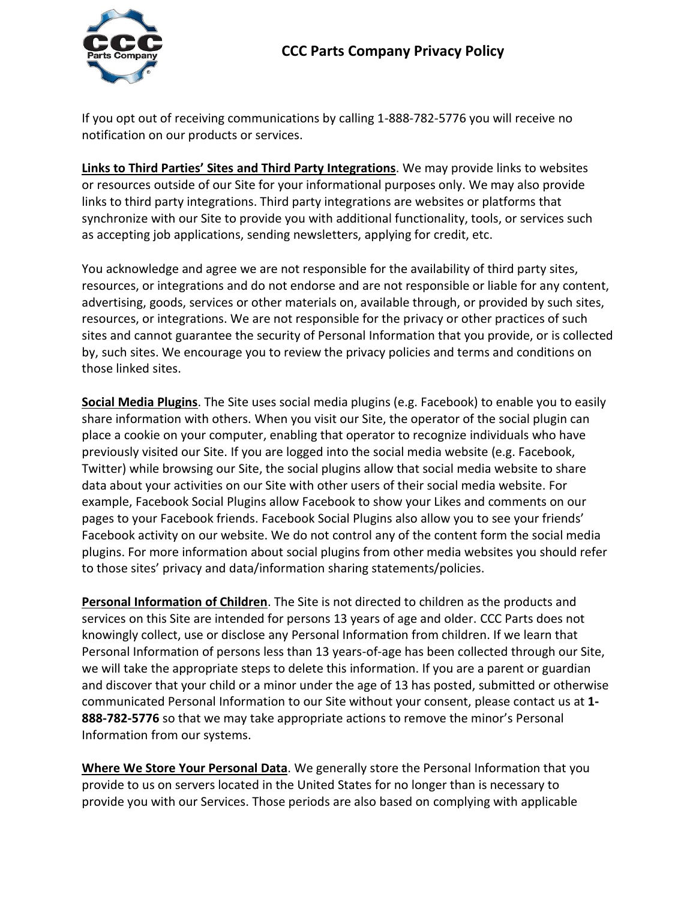## **CCC Parts Company Privacy Policy**



If you opt out of receiving communications by calling 1-888-782-5776 you will receive no notification on our products or services.

**Links to Third Parties' Sites and Third Party Integrations**. We may provide links to websites or resources outside of our Site for your informational purposes only. We may also provide links to third party integrations. Third party integrations are websites or platforms that synchronize with our Site to provide you with additional functionality, tools, or services such as accepting job applications, sending newsletters, applying for credit, etc.

You acknowledge and agree we are not responsible for the availability of third party sites, resources, or integrations and do not endorse and are not responsible or liable for any content, advertising, goods, services or other materials on, available through, or provided by such sites, resources, or integrations. We are not responsible for the privacy or other practices of such sites and cannot guarantee the security of Personal Information that you provide, or is collected by, such sites. We encourage you to review the privacy policies and terms and conditions on those linked sites.

**Social Media Plugins**. The Site uses social media plugins (e.g. Facebook) to enable you to easily share information with others. When you visit our Site, the operator of the social plugin can place a cookie on your computer, enabling that operator to recognize individuals who have previously visited our Site. If you are logged into the social media website (e.g. Facebook, Twitter) while browsing our Site, the social plugins allow that social media website to share data about your activities on our Site with other users of their social media website. For example, Facebook Social Plugins allow Facebook to show your Likes and comments on our pages to your Facebook friends. Facebook Social Plugins also allow you to see your friends' Facebook activity on our website. We do not control any of the content form the social media plugins. For more information about social plugins from other media websites you should refer to those sites' privacy and data/information sharing statements/policies.

**Personal Information of Children**. The Site is not directed to children as the products and services on this Site are intended for persons 13 years of age and older. CCC Parts does not knowingly collect, use or disclose any Personal Information from children. If we learn that Personal Information of persons less than 13 years-of-age has been collected through our Site, we will take the appropriate steps to delete this information. If you are a parent or guardian and discover that your child or a minor under the age of 13 has posted, submitted or otherwise communicated Personal Information to our Site without your consent, please contact us at **1- 888-782-5776** so that we may take appropriate actions to remove the minor's Personal Information from our systems.

**Where We Store Your Personal Data**. We generally store the Personal Information that you provide to us on servers located in the United States for no longer than is necessary to provide you with our Services. Those periods are also based on complying with applicable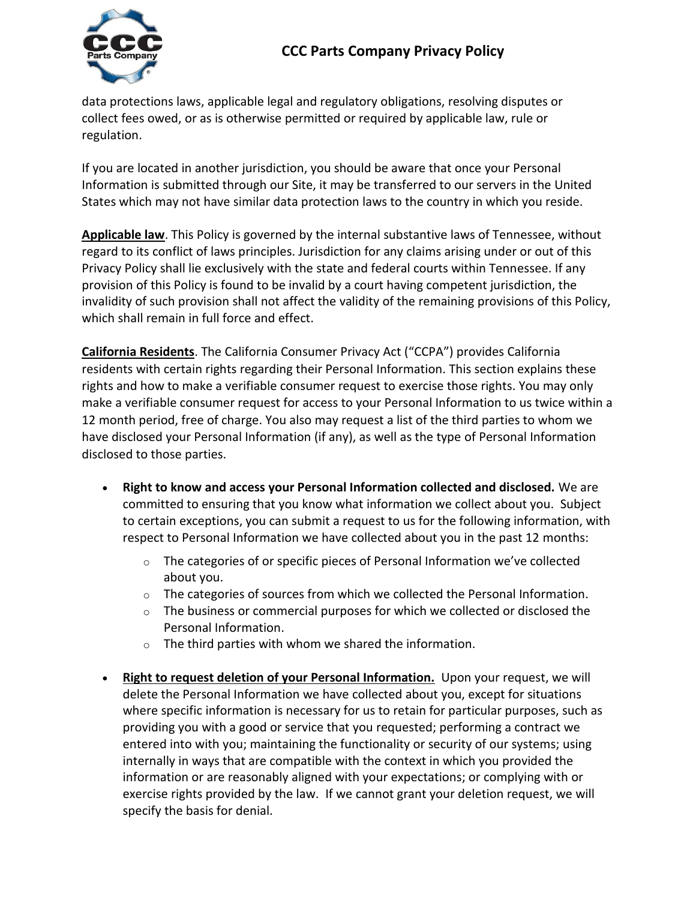## **CCC Parts Company Privacy Policy**



data protections laws, applicable legal and regulatory obligations, resolving disputes or collect fees owed, or as is otherwise permitted or required by applicable law, rule or regulation.

If you are located in another jurisdiction, you should be aware that once your Personal Information is submitted through our Site, it may be transferred to our servers in the United States which may not have similar data protection laws to the country in which you reside.

**Applicable law**. This Policy is governed by the internal substantive laws of Tennessee, without regard to its conflict of laws principles. Jurisdiction for any claims arising under or out of this Privacy Policy shall lie exclusively with the state and federal courts within Tennessee. If any provision of this Policy is found to be invalid by a court having competent jurisdiction, the invalidity of such provision shall not affect the validity of the remaining provisions of this Policy, which shall remain in full force and effect.

**California Residents**. The California Consumer Privacy Act ("CCPA") provides California residents with certain rights regarding their Personal Information. This section explains these rights and how to make a verifiable consumer request to exercise those rights. You may only make a verifiable consumer request for access to your Personal Information to us twice within a 12 month period, free of charge. You also may request a list of the third parties to whom we have disclosed your Personal Information (if any), as well as the type of Personal Information disclosed to those parties.

- **Right to know and access your Personal Information collected and disclosed.** We are committed to ensuring that you know what information we collect about you. Subject to certain exceptions, you can submit a request to us for the following information, with respect to Personal Information we have collected about you in the past 12 months:
	- $\circ$  The categories of or specific pieces of Personal Information we've collected about you.
	- o The categories of sources from which we collected the Personal Information.
	- $\circ$  The business or commercial purposes for which we collected or disclosed the Personal Information.
	- $\circ$  The third parties with whom we shared the information.
- **Right to request deletion of your Personal Information.** Upon your request, we will delete the Personal Information we have collected about you, except for situations where specific information is necessary for us to retain for particular purposes, such as providing you with a good or service that you requested; performing a contract we entered into with you; maintaining the functionality or security of our systems; using internally in ways that are compatible with the context in which you provided the information or are reasonably aligned with your expectations; or complying with or exercise rights provided by the law. If we cannot grant your deletion request, we will specify the basis for denial.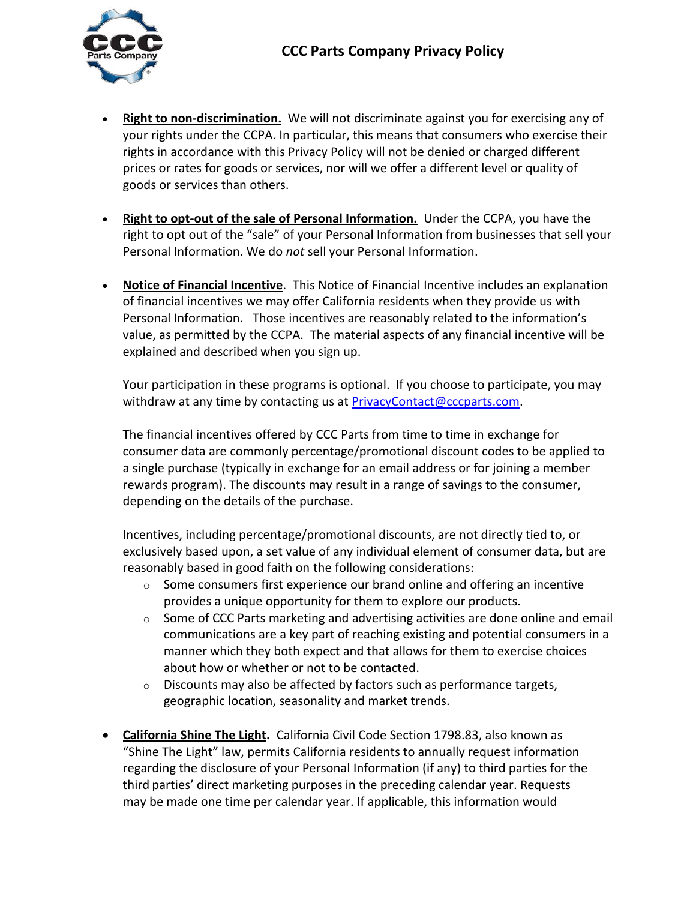

- **Right to non-discrimination.** We will not discriminate against you for exercising any of your rights under the CCPA. In particular, this means that consumers who exercise their rights in accordance with this Privacy Policy will not be denied or charged different prices or rates for goods or services, nor will we offer a different level or quality of goods or services than others.
- **Right to opt-out of the sale of Personal Information.** Under the CCPA, you have the right to opt out of the "sale" of your Personal Information from businesses that sell your Personal Information. We do *not* sell your Personal Information.
- **Notice of Financial Incentive**. This Notice of Financial Incentive includes an explanation of financial incentives we may offer California residents when they provide us with Personal Information. Those incentives are reasonably related to the information's value, as permitted by the CCPA. The material aspects of any financial incentive will be explained and described when you sign up.

Your participation in these programs is optional. If you choose to participate, you may withdraw at any time by contacting us at [PrivacyContact@cccparts.com.](mailto:PrivacyContact@cccparts.com)

The financial incentives offered by CCC Parts from time to time in exchange for consumer data are commonly percentage/promotional discount codes to be applied to a single purchase (typically in exchange for an email address or for joining a member rewards program). The discounts may result in a range of savings to the consumer, depending on the details of the purchase.

Incentives, including percentage/promotional discounts, are not directly tied to, or exclusively based upon, a set value of any individual element of consumer data, but are reasonably based in good faith on the following considerations:

- $\circ$  Some consumers first experience our brand online and offering an incentive provides a unique opportunity for them to explore our products.
- $\circ$  Some of CCC Parts marketing and advertising activities are done online and email communications are a key part of reaching existing and potential consumers in a manner which they both expect and that allows for them to exercise choices about how or whether or not to be contacted.
- $\circ$  Discounts may also be affected by factors such as performance targets, geographic location, seasonality and market trends.
- **California Shine The Light.** California Civil Code Section 1798.83, also known as "Shine The Light" law, permits California residents to annually request information regarding the disclosure of your Personal Information (if any) to third parties for the third parties' direct marketing purposes in the preceding calendar year. Requests may be made one time per calendar year. If applicable, this information would